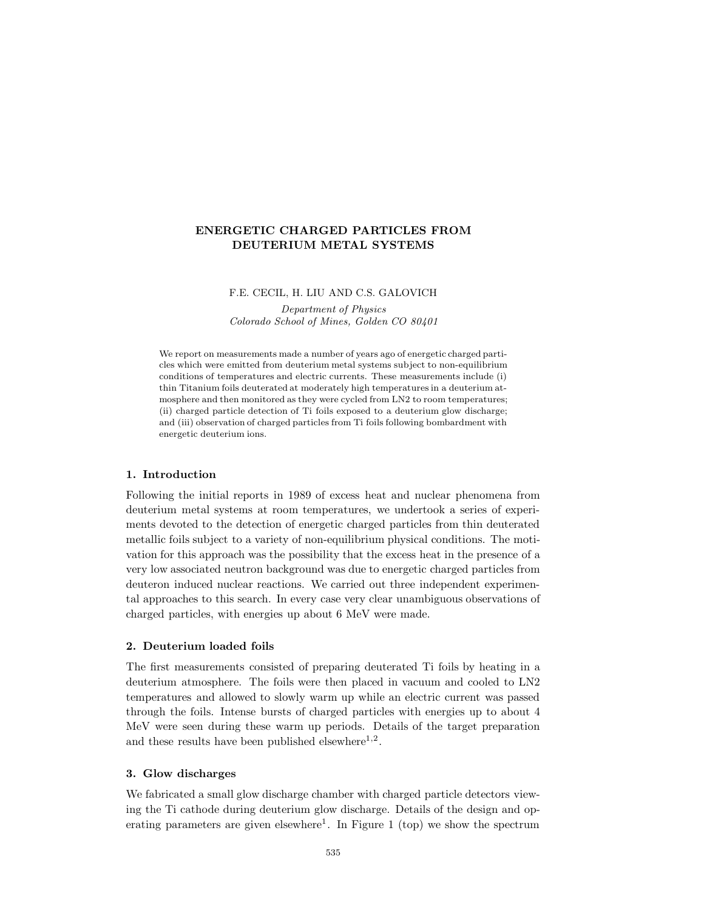# **ENERGETIC CHARGED PARTICLES FROM DEUTERIUM METAL SYSTEMS**

#### F.E. CECIL, H. LIU AND C.S. GALOVICH

*Department of Physics Colorado School of Mines, Golden CO 80401*

We report on measurements made a number of years ago of energetic charged particles which were emitted from deuterium metal systems subject to non-equilibrium conditions of temperatures and electric currents. These measurements include (i) thin Titanium foils deuterated at moderately high temperatures in a deuterium atmosphere and then monitored as they were cycled from LN2 to room temperatures; (ii) charged particle detection of Ti foils exposed to a deuterium glow discharge; and (iii) observation of charged particles from Ti foils following bombardment with energetic deuterium ions.

# **1. Introduction**

Following the initial reports in 1989 of excess heat and nuclear phenomena from deuterium metal systems at room temperatures, we undertook a series of experiments devoted to the detection of energetic charged particles from thin deuterated metallic foils subject to a variety of non-equilibrium physical conditions. The motivation for this approach was the possibility that the excess heat in the presence of a very low associated neutron background was due to energetic charged particles from deuteron induced nuclear reactions. We carried out three independent experimental approaches to this search. In every case very clear unambiguous observations of charged particles, with energies up about 6 MeV were made.

### **2. Deuterium loaded foils**

The first measurements consisted of preparing deuterated Ti foils by heating in a deuterium atmosphere. The foils were then placed in vacuum and cooled to LN2 temperatures and allowed to slowly warm up while an electric current was passed through the foils. Intense bursts of charged particles with energies up to about 4 MeV were seen during these warm up periods. Details of the target preparation and these results have been published elsewhere<sup>1,2</sup>.

### **3. Glow discharges**

We fabricated a small glow discharge chamber with charged particle detectors viewing the Ti cathode during deuterium glow discharge. Details of the design and operating parameters are given elsewhere<sup>1</sup>. In Figure 1 (top) we show the spectrum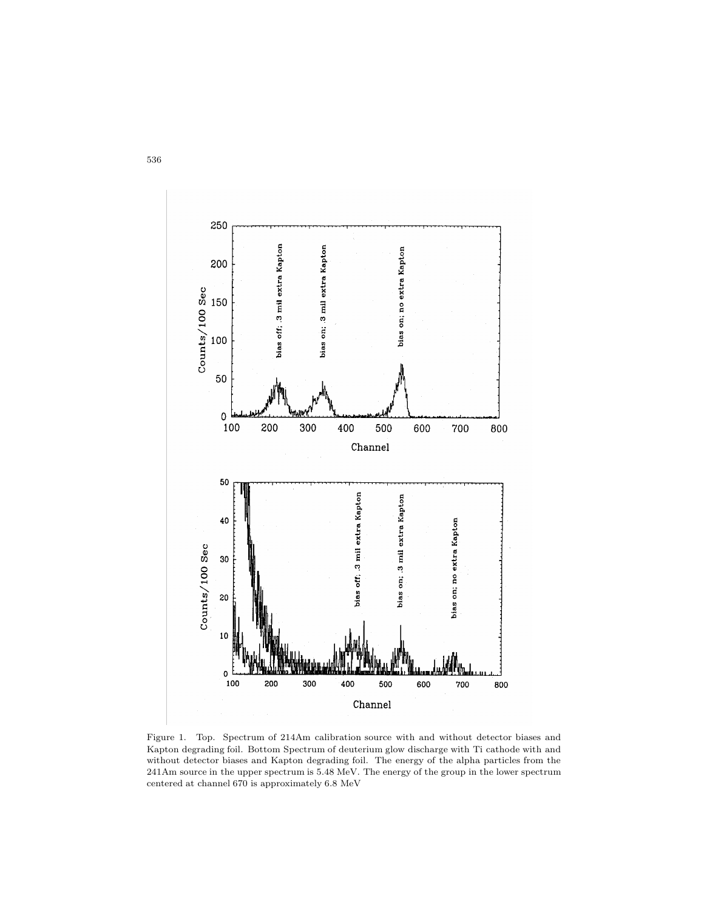

Figure 1. Top. Spectrum of 214Am calibration source with and without detector biases and Kapton degrading foil. Bottom Spectrum of deuterium glow discharge with Ti cathode with and without detector biases and Kapton degrading foil. The energy of the alpha particles from the 241Am source in the upper spectrum is 5.48 MeV. The energy of the group in the lower spectrum centered at channel 670 is approximately 6.8 MeV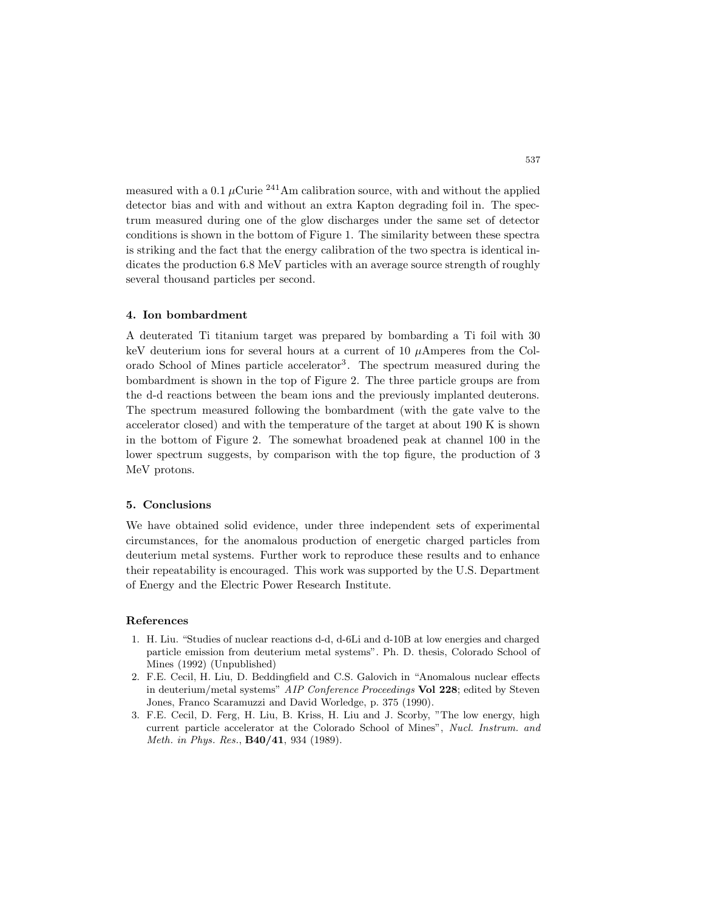measured with a 0.1  $\mu$ Curie <sup>241</sup>Am calibration source, with and without the applied detector bias and with and without an extra Kapton degrading foil in. The spectrum measured during one of the glow discharges under the same set of detector conditions is shown in the bottom of Figure 1. The similarity between these spectra is striking and the fact that the energy calibration of the two spectra is identical indicates the production 6.8 MeV particles with an average source strength of roughly several thousand particles per second.

#### **4. Ion bombardment**

A deuterated Ti titanium target was prepared by bombarding a Ti foil with 30 keV deuterium ions for several hours at a current of 10 *µ*Amperes from the Colorado School of Mines particle accelerator<sup>3</sup>. The spectrum measured during the bombardment is shown in the top of Figure 2. The three particle groups are from the d-d reactions between the beam ions and the previously implanted deuterons. The spectrum measured following the bombardment (with the gate valve to the accelerator closed) and with the temperature of the target at about 190 K is shown in the bottom of Figure 2. The somewhat broadened peak at channel 100 in the lower spectrum suggests, by comparison with the top figure, the production of 3 MeV protons.

### **5. Conclusions**

We have obtained solid evidence, under three independent sets of experimental circumstances, for the anomalous production of energetic charged particles from deuterium metal systems. Further work to reproduce these results and to enhance their repeatability is encouraged. This work was supported by the U.S. Department of Energy and the Electric Power Research Institute.

#### **References**

- 1. H. Liu. "Studies of nuclear reactions d-d, d-6Li and d-10B at low energies and charged particle emission from deuterium metal systems". Ph. D. thesis, Colorado School of Mines (1992) (Unpublished)
- 2. F.E. Cecil, H. Liu, D. Beddingfield and C.S. Galovich in "Anomalous nuclear effects in deuterium/metal systems" *AIP Conference Proceedings* **Vol 228**; edited by Steven Jones, Franco Scaramuzzi and David Worledge, p. 375 (1990).
- 3. F.E. Cecil, D. Ferg, H. Liu, B. Kriss, H. Liu and J. Scorby, "The low energy, high current particle accelerator at the Colorado School of Mines", *Nucl. Instrum. and Meth. in Phys. Res.*, **B40/41**, 934 (1989).